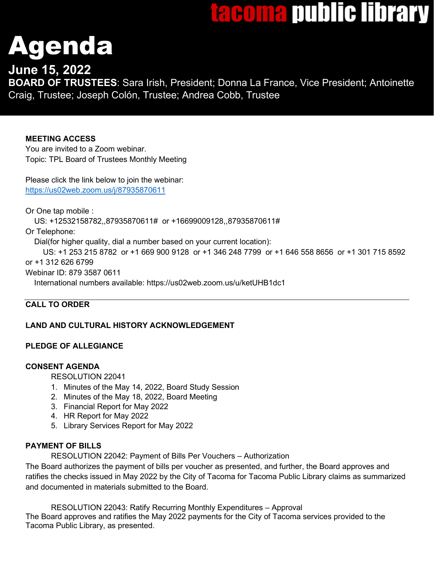# <u>tacoma public library</u>

# genda

# **June 15, 2022**

**BOARD OF TRUSTEES**: Sara Irish, President; Donna La France, Vice President; Antoinette Craig, Trustee; Joseph Colón, Trustee; Andrea Cobb, Trustee

# **MEETING ACCESS**

You are invited to a Zoom webinar. Topic: TPL Board of Trustees Monthly Meeting

Please click the link below to join the webinar: <https://us02web.zoom.us/j/87935870611>

Or One tap mobile :

US: +12532158782,,87935870611# or +16699009128,,87935870611#

Or Telephone:

Dial(for higher quality, dial a number based on your current location):

 US: +1 253 215 8782 or +1 669 900 9128 or +1 346 248 7799 or +1 646 558 8656 or +1 301 715 8592 or +1 312 626 6799

Webinar ID: 879 3587 0611

International numbers available: https://us02web.zoom.us/u/ketUHB1dc1

# **CALL TO ORDER**

# **LAND AND CULTURAL HISTORY ACKNOWLEDGEMENT**

# **PLEDGE OF ALLEGIANCE**

## **CONSENT AGENDA**

RESOLUTION 22041

- 1. Minutes of the May 14, 2022, Board Study Session
- 2. Minutes of the May 18, 2022, Board Meeting
- 3. Financial Report for May 2022
- 4. HR Report for May 2022
- 5. Library Services Report for May 2022

## **PAYMENT OF BILLS**

RESOLUTION 22042: Payment of Bills Per Vouchers – Authorization

The Board authorizes the payment of bills per voucher as presented, and further, the Board approves and ratifies the checks issued in May 2022 by the City of Tacoma for Tacoma Public Library claims as summarized and documented in materials submitted to the Board.

RESOLUTION 22043: Ratify Recurring Monthly Expenditures – Approval The Board approves and ratifies the May 2022 payments for the City of Tacoma services provided to the Tacoma Public Library, as presented.